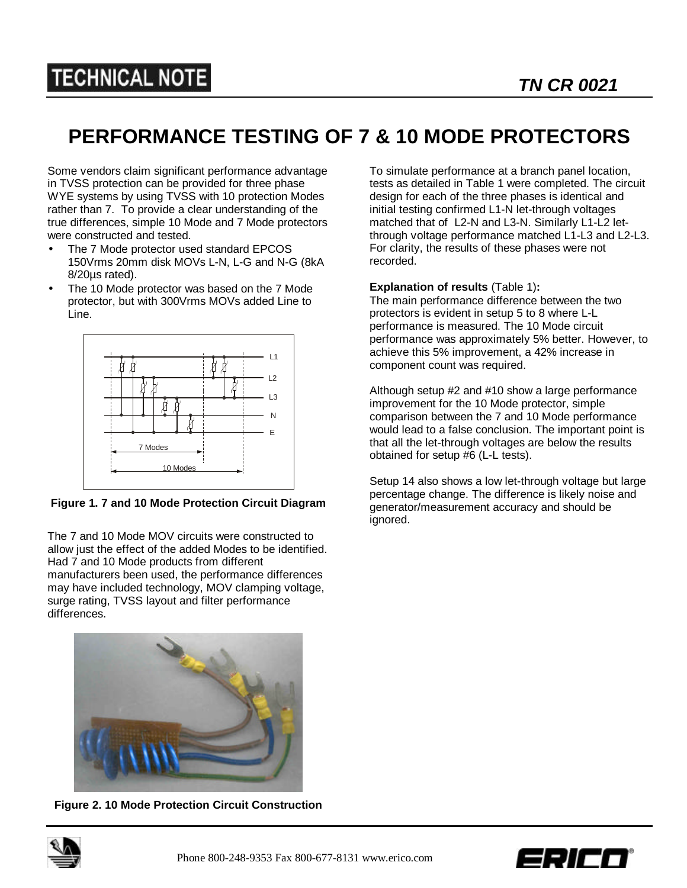## **TECHNICAL NOTE**

## **PERFORMANCE TESTING OF 7 & 10 MODE PROTECTORS**

Some vendors claim significant performance advantage in TVSS protection can be provided for three phase WYE systems by using TVSS with 10 protection Modes rather than 7. To provide a clear understanding of the true differences, simple 10 Mode and 7 Mode protectors were constructed and tested.

- The 7 Mode protector used standard EPCOS 150Vrms 20mm disk MOVs L-N, L-G and N-G (8kA 8/20µs rated).
- The 10 Mode protector was based on the 7 Mode protector, but with 300Vrms MOVs added Line to Line.



**Figure 1. 7 and 10 Mode Protection Circuit Diagram**

The 7 and 10 Mode MOV circuits were constructed to allow just the effect of the added Modes to be identified. Had 7 and 10 Mode products from different manufacturers been used, the performance differences may have included technology, MOV clamping voltage, surge rating, TVSS layout and filter performance differences.



**Figure 2. 10 Mode Protection Circuit Construction**

To simulate performance at a branch panel location, tests as detailed in Table 1 were completed. The circuit design for each of the three phases is identical and initial testing confirmed L1-N let-through voltages matched that of L2-N and L3-N. Similarly L1-L2 letthrough voltage performance matched L1-L3 and L2-L3. For clarity, the results of these phases were not recorded.

## **Explanation of results** (Table 1)**:**

The main performance difference between the two protectors is evident in setup 5 to 8 where L-L performance is measured. The 10 Mode circuit performance was approximately 5% better. However, to achieve this 5% improvement, a 42% increase in component count was required.

Although setup #2 and #10 show a large performance improvement for the 10 Mode protector, simple comparison between the 7 and 10 Mode performance would lead to a false conclusion. The important point is that all the let-through voltages are below the results obtained for setup #6 (L-L tests).

Setup 14 also shows a low let-through voltage but large percentage change. The difference is likely noise and generator/measurement accuracy and should be ignored.